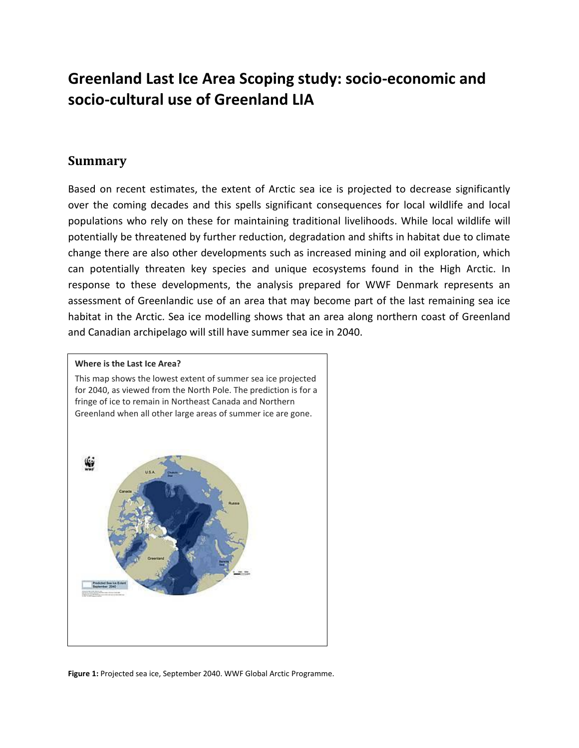# **Greenland Last Ice Area Scoping study: socio-economic and socio-cultural use of Greenland LIA**

#### **Summary**

Based on recent estimates, the extent of Arctic sea ice is projected to decrease significantly over the coming decades and this spells significant consequences for local wildlife and local populations who rely on these for maintaining traditional livelihoods. While local wildlife will potentially be threatened by further reduction, degradation and shifts in habitat due to climate change there are also other developments such as increased mining and oil exploration, which can potentially threaten key species and unique ecosystems found in the High Arctic. In response to these developments, the analysis prepared for WWF Denmark represents an assessment of Greenlandic use of an area that may become part of the last remaining sea ice habitat in the Arctic. Sea ice modelling shows that an area along northern coast of Greenland and Canadian archipelago will still have summer sea ice in 2040.

#### **Where is the Last Ice Area?**

This map shows the lowest extent of summer sea ice projected for 2040, as viewed from the North Pole. The prediction is for a fringe of ice to remain in Northeast Canada and Northern Greenland when all other large areas of summer ice are gone.



**Figure 1:** Projected sea ice, September 2040. WWF Global Arctic Programme.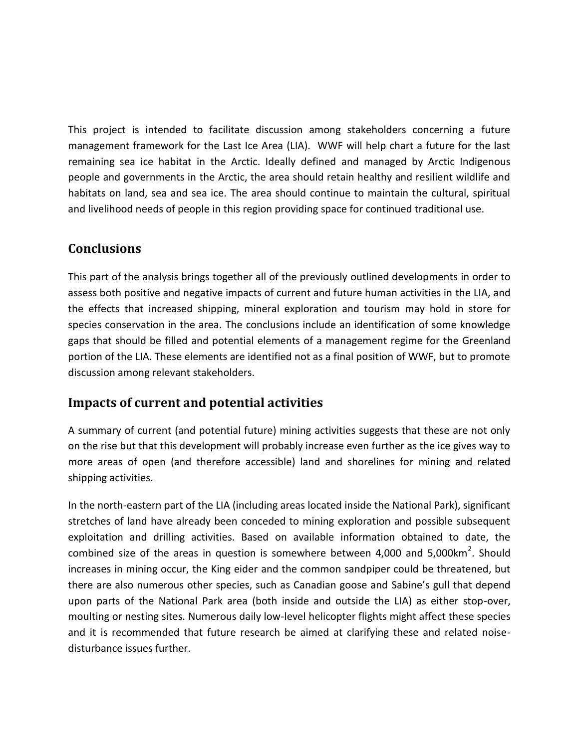This project is intended to facilitate discussion among stakeholders concerning a future management framework for the Last Ice Area (LIA). WWF will help chart a future for the last remaining sea ice habitat in the Arctic. Ideally defined and managed by Arctic Indigenous people and governments in the Arctic, the area should retain healthy and resilient wildlife and habitats on land, sea and sea ice. The area should continue to maintain the cultural, spiritual and livelihood needs of people in this region providing space for continued traditional use.

# **Conclusions**

This part of the analysis brings together all of the previously outlined developments in order to assess both positive and negative impacts of current and future human activities in the LIA, and the effects that increased shipping, mineral exploration and tourism may hold in store for species conservation in the area. The conclusions include an identification of some knowledge gaps that should be filled and potential elements of a management regime for the Greenland portion of the LIA. These elements are identified not as a final position of WWF, but to promote discussion among relevant stakeholders.

## **Impacts of current and potential activities**

A summary of current (and potential future) mining activities suggests that these are not only on the rise but that this development will probably increase even further as the ice gives way to more areas of open (and therefore accessible) land and shorelines for mining and related shipping activities.

In the north-eastern part of the LIA (including areas located inside the National Park), significant stretches of land have already been conceded to mining exploration and possible subsequent exploitation and drilling activities. Based on available information obtained to date, the combined size of the areas in question is somewhere between 4,000 and 5,000km<sup>2</sup>. Should increases in mining occur, the King eider and the common sandpiper could be threatened, but there are also numerous other species, such as Canadian goose and Sabine's gull that depend upon parts of the National Park area (both inside and outside the LIA) as either stop-over, moulting or nesting sites. Numerous daily low-level helicopter flights might affect these species and it is recommended that future research be aimed at clarifying these and related noisedisturbance issues further.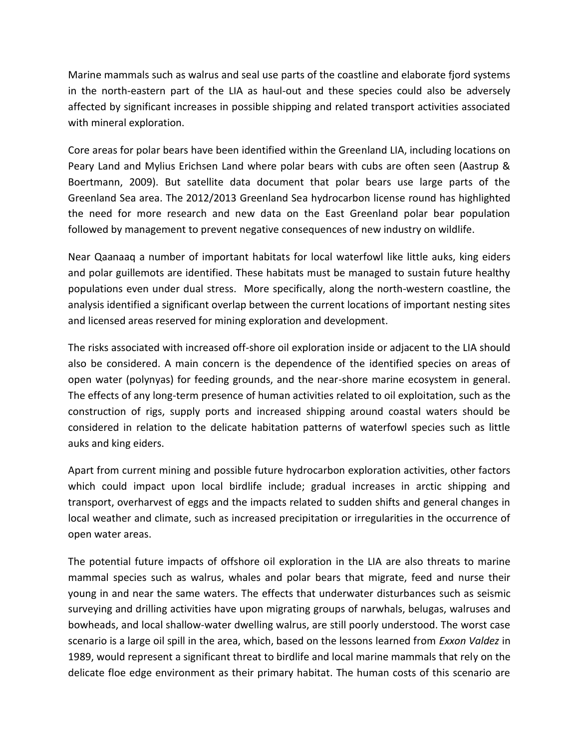Marine mammals such as walrus and seal use parts of the coastline and elaborate fjord systems in the north-eastern part of the LIA as haul-out and these species could also be adversely affected by significant increases in possible shipping and related transport activities associated with mineral exploration.

Core areas for polar bears have been identified within the Greenland LIA, including locations on Peary Land and Mylius Erichsen Land where polar bears with cubs are often seen (Aastrup & Boertmann, 2009). But satellite data document that polar bears use large parts of the Greenland Sea area. The 2012/2013 Greenland Sea hydrocarbon license round has highlighted the need for more research and new data on the East Greenland polar bear population followed by management to prevent negative consequences of new industry on wildlife.

Near Qaanaaq a number of important habitats for local waterfowl like little auks, king eiders and polar guillemots are identified. These habitats must be managed to sustain future healthy populations even under dual stress. More specifically, along the north-western coastline, the analysis identified a significant overlap between the current locations of important nesting sites and licensed areas reserved for mining exploration and development.

The risks associated with increased off-shore oil exploration inside or adjacent to the LIA should also be considered. A main concern is the dependence of the identified species on areas of open water (polynyas) for feeding grounds, and the near-shore marine ecosystem in general. The effects of any long-term presence of human activities related to oil exploitation, such as the construction of rigs, supply ports and increased shipping around coastal waters should be considered in relation to the delicate habitation patterns of waterfowl species such as little auks and king eiders.

Apart from current mining and possible future hydrocarbon exploration activities, other factors which could impact upon local birdlife include; gradual increases in arctic shipping and transport, overharvest of eggs and the impacts related to sudden shifts and general changes in local weather and climate, such as increased precipitation or irregularities in the occurrence of open water areas.

The potential future impacts of offshore oil exploration in the LIA are also threats to marine mammal species such as walrus, whales and polar bears that migrate, feed and nurse their young in and near the same waters. The effects that underwater disturbances such as seismic surveying and drilling activities have upon migrating groups of narwhals, belugas, walruses and bowheads, and local shallow-water dwelling walrus, are still poorly understood. The worst case scenario is a large oil spill in the area, which, based on the lessons learned from *Exxon Valdez* in 1989, would represent a significant threat to birdlife and local marine mammals that rely on the delicate floe edge environment as their primary habitat. The human costs of this scenario are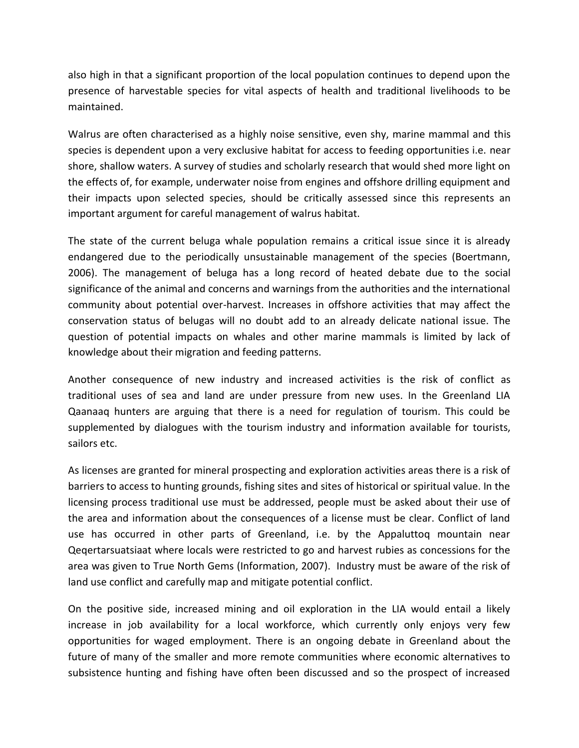also high in that a significant proportion of the local population continues to depend upon the presence of harvestable species for vital aspects of health and traditional livelihoods to be maintained.

Walrus are often characterised as a highly noise sensitive, even shy, marine mammal and this species is dependent upon a very exclusive habitat for access to feeding opportunities i.e. near shore, shallow waters. A survey of studies and scholarly research that would shed more light on the effects of, for example, underwater noise from engines and offshore drilling equipment and their impacts upon selected species, should be critically assessed since this represents an important argument for careful management of walrus habitat.

The state of the current beluga whale population remains a critical issue since it is already endangered due to the periodically unsustainable management of the species (Boertmann, 2006). The management of beluga has a long record of heated debate due to the social significance of the animal and concerns and warnings from the authorities and the international community about potential over-harvest. Increases in offshore activities that may affect the conservation status of belugas will no doubt add to an already delicate national issue. The question of potential impacts on whales and other marine mammals is limited by lack of knowledge about their migration and feeding patterns.

Another consequence of new industry and increased activities is the risk of conflict as traditional uses of sea and land are under pressure from new uses. In the Greenland LIA Qaanaaq hunters are arguing that there is a need for regulation of tourism. This could be supplemented by dialogues with the tourism industry and information available for tourists, sailors etc.

As licenses are granted for mineral prospecting and exploration activities areas there is a risk of barriers to access to hunting grounds, fishing sites and sites of historical or spiritual value. In the licensing process traditional use must be addressed, people must be asked about their use of the area and information about the consequences of a license must be clear. Conflict of land use has occurred in other parts of Greenland, i.e. by the Appaluttoq mountain near Qeqertarsuatsiaat where locals were restricted to go and harvest rubies as concessions for the area was given to True North Gems (Information, 2007). Industry must be aware of the risk of land use conflict and carefully map and mitigate potential conflict.

On the positive side, increased mining and oil exploration in the LIA would entail a likely increase in job availability for a local workforce, which currently only enjoys very few opportunities for waged employment. There is an ongoing debate in Greenland about the future of many of the smaller and more remote communities where economic alternatives to subsistence hunting and fishing have often been discussed and so the prospect of increased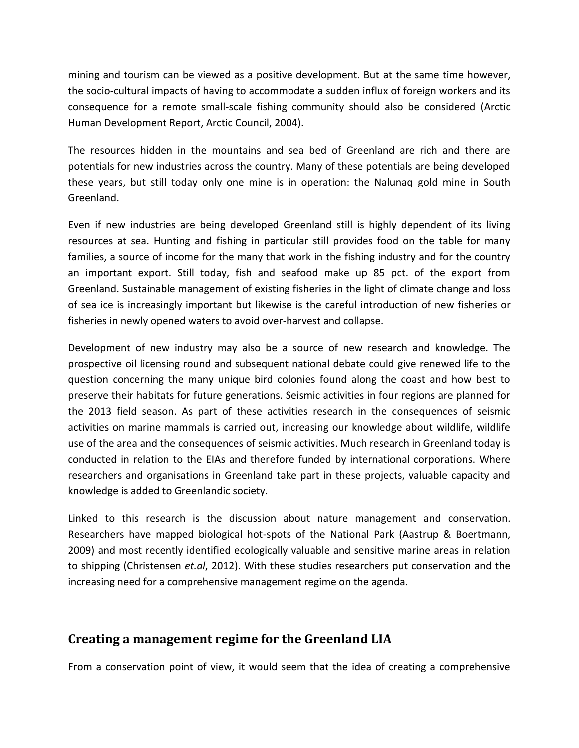mining and tourism can be viewed as a positive development. But at the same time however, the socio-cultural impacts of having to accommodate a sudden influx of foreign workers and its consequence for a remote small-scale fishing community should also be considered (Arctic Human Development Report, Arctic Council, 2004).

The resources hidden in the mountains and sea bed of Greenland are rich and there are potentials for new industries across the country. Many of these potentials are being developed these years, but still today only one mine is in operation: the Nalunaq gold mine in South Greenland.

Even if new industries are being developed Greenland still is highly dependent of its living resources at sea. Hunting and fishing in particular still provides food on the table for many families, a source of income for the many that work in the fishing industry and for the country an important export. Still today, fish and seafood make up 85 pct. of the export from Greenland. Sustainable management of existing fisheries in the light of climate change and loss of sea ice is increasingly important but likewise is the careful introduction of new fisheries or fisheries in newly opened waters to avoid over-harvest and collapse.

Development of new industry may also be a source of new research and knowledge. The prospective oil licensing round and subsequent national debate could give renewed life to the question concerning the many unique bird colonies found along the coast and how best to preserve their habitats for future generations. Seismic activities in four regions are planned for the 2013 field season. As part of these activities research in the consequences of seismic activities on marine mammals is carried out, increasing our knowledge about wildlife, wildlife use of the area and the consequences of seismic activities. Much research in Greenland today is conducted in relation to the EIAs and therefore funded by international corporations. Where researchers and organisations in Greenland take part in these projects, valuable capacity and knowledge is added to Greenlandic society.

Linked to this research is the discussion about nature management and conservation. Researchers have mapped biological hot-spots of the National Park (Aastrup & Boertmann, 2009) and most recently identified ecologically valuable and sensitive marine areas in relation to shipping (Christensen *et.al*, 2012). With these studies researchers put conservation and the increasing need for a comprehensive management regime on the agenda.

### **Creating a management regime for the Greenland LIA**

From a conservation point of view, it would seem that the idea of creating a comprehensive